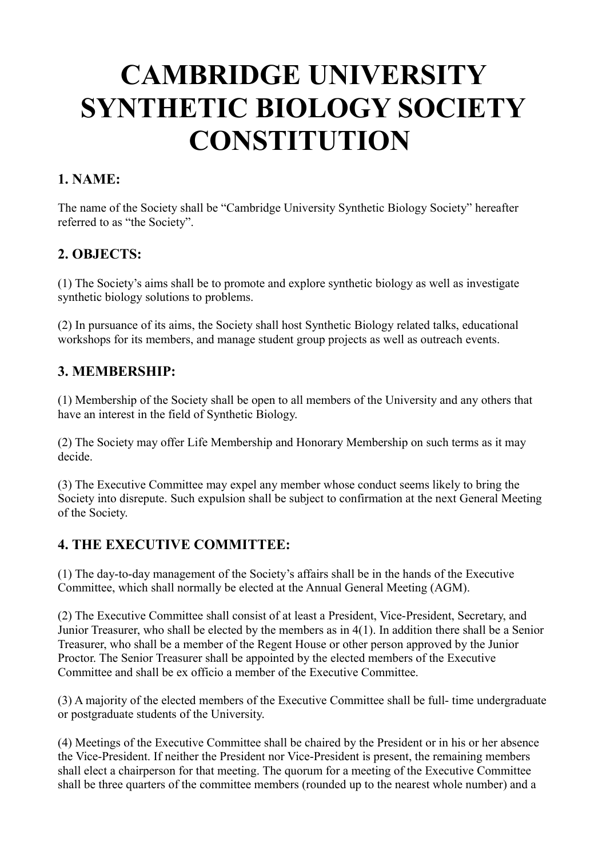# **CAMBRIDGE UNIVERSITY SYNTHETIC BIOLOGY SOCIETY CONSTITUTION**

## **1. NAME:**

The name of the Society shall be "Cambridge University Synthetic Biology Society" hereafter referred to as "the Society".

#### **2. OBJECTS:**

(1) The Society's aims shall be to promote and explore synthetic biology as well as investigate synthetic biology solutions to problems.

(2) In pursuance of its aims, the Society shall host Synthetic Biology related talks, educational workshops for its members, and manage student group projects as well as outreach events.

## **3. MEMBERSHIP:**

(1) Membership of the Society shall be open to all members of the University and any others that have an interest in the field of Synthetic Biology.

(2) The Society may offer Life Membership and Honorary Membership on such terms as it may decide.

(3) The Executive Committee may expel any member whose conduct seems likely to bring the Society into disrepute. Such expulsion shall be subject to confirmation at the next General Meeting of the Society.

## **4. THE EXECUTIVE COMMITTEE:**

(1) The day-to-day management of the Society's affairs shall be in the hands of the Executive Committee, which shall normally be elected at the Annual General Meeting (AGM).

(2) The Executive Committee shall consist of at least a President, Vice-President, Secretary, and Junior Treasurer, who shall be elected by the members as in 4(1). In addition there shall be a Senior Treasurer, who shall be a member of the Regent House or other person approved by the Junior Proctor. The Senior Treasurer shall be appointed by the elected members of the Executive Committee and shall be ex officio a member of the Executive Committee.

(3) A majority of the elected members of the Executive Committee shall be full- time undergraduate or postgraduate students of the University.

(4) Meetings of the Executive Committee shall be chaired by the President or in his or her absence the Vice-President. If neither the President nor Vice-President is present, the remaining members shall elect a chairperson for that meeting. The quorum for a meeting of the Executive Committee shall be three quarters of the committee members (rounded up to the nearest whole number) and a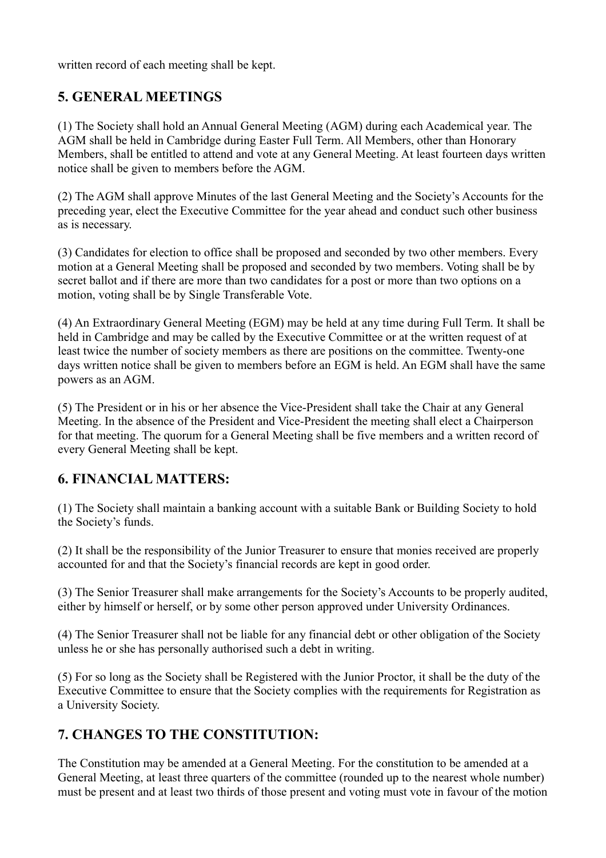written record of each meeting shall be kept.

#### **5. GENERAL MEETINGS**

(1) The Society shall hold an Annual General Meeting (AGM) during each Academical year. The AGM shall be held in Cambridge during Easter Full Term. All Members, other than Honorary Members, shall be entitled to attend and vote at any General Meeting. At least fourteen days written notice shall be given to members before the AGM.

(2) The AGM shall approve Minutes of the last General Meeting and the Society's Accounts for the preceding year, elect the Executive Committee for the year ahead and conduct such other business as is necessary.

(3) Candidates for election to office shall be proposed and seconded by two other members. Every motion at a General Meeting shall be proposed and seconded by two members. Voting shall be by secret ballot and if there are more than two candidates for a post or more than two options on a motion, voting shall be by Single Transferable Vote.

(4) An Extraordinary General Meeting (EGM) may be held at any time during Full Term. It shall be held in Cambridge and may be called by the Executive Committee or at the written request of at least twice the number of society members as there are positions on the committee. Twenty-one days written notice shall be given to members before an EGM is held. An EGM shall have the same powers as an AGM.

(5) The President or in his or her absence the Vice-President shall take the Chair at any General Meeting. In the absence of the President and Vice-President the meeting shall elect a Chairperson for that meeting. The quorum for a General Meeting shall be five members and a written record of every General Meeting shall be kept.

## **6. FINANCIAL MATTERS:**

(1) The Society shall maintain a banking account with a suitable Bank or Building Society to hold the Society's funds.

(2) It shall be the responsibility of the Junior Treasurer to ensure that monies received are properly accounted for and that the Society's financial records are kept in good order.

(3) The Senior Treasurer shall make arrangements for the Society's Accounts to be properly audited, either by himself or herself, or by some other person approved under University Ordinances.

(4) The Senior Treasurer shall not be liable for any financial debt or other obligation of the Society unless he or she has personally authorised such a debt in writing.

(5) For so long as the Society shall be Registered with the Junior Proctor, it shall be the duty of the Executive Committee to ensure that the Society complies with the requirements for Registration as a University Society.

## **7. CHANGES TO THE CONSTITUTION:**

The Constitution may be amended at a General Meeting. For the constitution to be amended at a General Meeting, at least three quarters of the committee (rounded up to the nearest whole number) must be present and at least two thirds of those present and voting must vote in favour of the motion